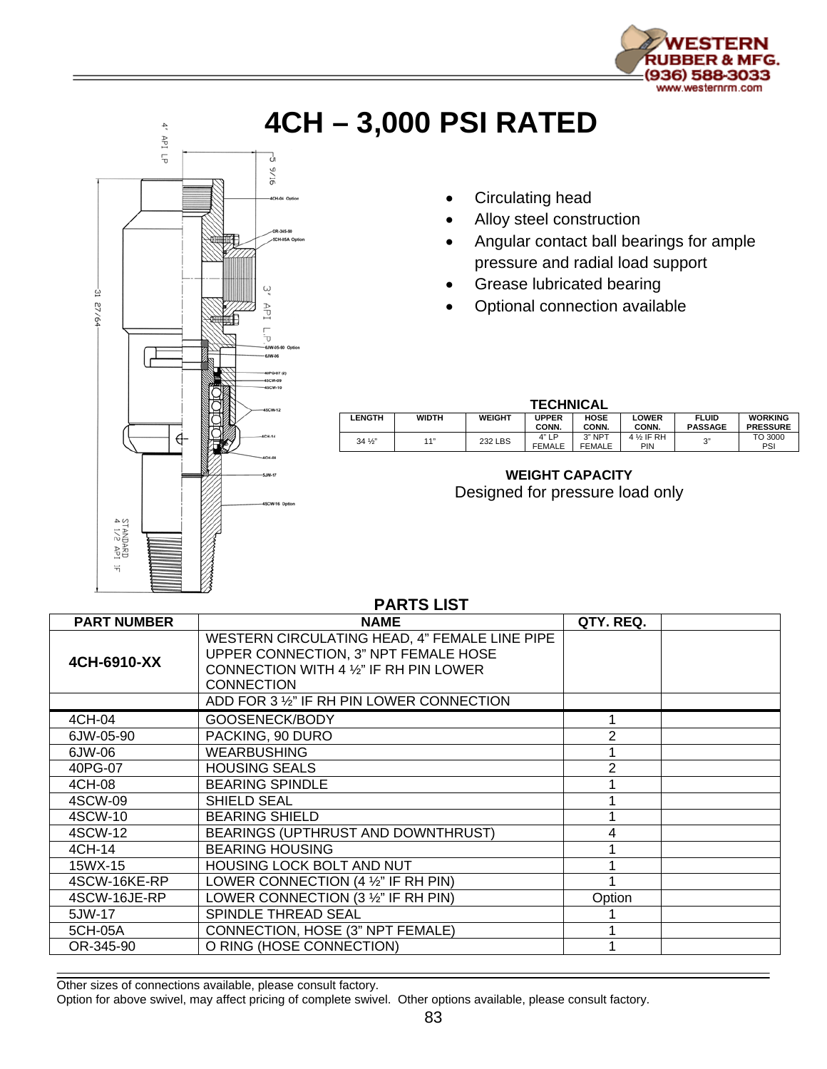

## **4CH – 3,000 PSI RATED**



- Circulating head
- Alloy steel construction
- Angular contact ball bearings for ample pressure and radial load support
- **Grease lubricated bearing**
- Optional connection available

| <b>TECHNICAL</b> |              |               |                       |                           |                               |                                |                                   |  |
|------------------|--------------|---------------|-----------------------|---------------------------|-------------------------------|--------------------------------|-----------------------------------|--|
| <b>LENGTH</b>    | <b>WIDTH</b> | <b>WEIGHT</b> | <b>UPPER</b><br>CONN. | <b>HOSE</b><br>CONN.      | <b>LOWER</b><br>CONN.         | <b>FLUID</b><br><b>PASSAGE</b> | <b>WORKING</b><br><b>PRESSURE</b> |  |
| $34\frac{1}{3}$  | 11"          | 232 LBS       | 4" LP<br>FEMALE       | $3"$ NPT<br><b>FEMALE</b> | 4 <sup>1/2</sup> IF RH<br>PIN | 3"                             | TO 3000<br>PSI                    |  |

## **WEIGHT CAPACITY**  Designed for pressure load only

| <b>PARTS LIST</b>  |                                                                                                                                                      |           |  |  |  |  |  |  |
|--------------------|------------------------------------------------------------------------------------------------------------------------------------------------------|-----------|--|--|--|--|--|--|
| <b>PART NUMBER</b> | <b>NAME</b>                                                                                                                                          | QTY, REQ. |  |  |  |  |  |  |
| 4CH-6910-XX        | WESTERN CIRCULATING HEAD, 4" FEMALE LINE PIPE<br>UPPER CONNECTION, 3" NPT FEMALE HOSE<br>CONNECTION WITH 4 1/2" IF RH PIN LOWER<br><b>CONNECTION</b> |           |  |  |  |  |  |  |
|                    | ADD FOR 3 1/2" IF RH PIN LOWER CONNECTION                                                                                                            |           |  |  |  |  |  |  |
| 4CH-04             | GOOSENECK/BODY                                                                                                                                       |           |  |  |  |  |  |  |
| 6JW-05-90          | PACKING, 90 DURO                                                                                                                                     | 2         |  |  |  |  |  |  |
| 6JW-06             | <b>WEARBUSHING</b>                                                                                                                                   |           |  |  |  |  |  |  |
| 40PG-07            | <b>HOUSING SEALS</b>                                                                                                                                 |           |  |  |  |  |  |  |
| 4CH-08             | <b>BEARING SPINDLE</b>                                                                                                                               |           |  |  |  |  |  |  |
| 4SCW-09            | <b>SHIELD SEAL</b>                                                                                                                                   |           |  |  |  |  |  |  |
| 4SCW-10            | <b>BEARING SHIELD</b>                                                                                                                                |           |  |  |  |  |  |  |
| 4SCW-12            | BEARINGS (UPTHRUST AND DOWNTHRUST)                                                                                                                   |           |  |  |  |  |  |  |
| 4CH-14             | <b>BEARING HOUSING</b>                                                                                                                               |           |  |  |  |  |  |  |
| 15WX-15            | HOUSING LOCK BOLT AND NUT                                                                                                                            |           |  |  |  |  |  |  |
| 4SCW-16KE-RP       | LOWER CONNECTION $(4 \frac{1}{2})$ " IF RH PIN)                                                                                                      |           |  |  |  |  |  |  |
| 4SCW-16JE-RP       | LOWER CONNECTION (3 1/2" IF RH PIN)                                                                                                                  | Option    |  |  |  |  |  |  |
| 5JW-17             | SPINDLE THREAD SEAL                                                                                                                                  |           |  |  |  |  |  |  |
| 5CH-05A            | CONNECTION, HOSE (3" NPT FEMALE)                                                                                                                     |           |  |  |  |  |  |  |
| OR-345-90          | O RING (HOSE CONNECTION)                                                                                                                             |           |  |  |  |  |  |  |

Other sizes of connections available, please consult factory.

Option for above swivel, may affect pricing of complete swivel. Other options available, please consult factory.